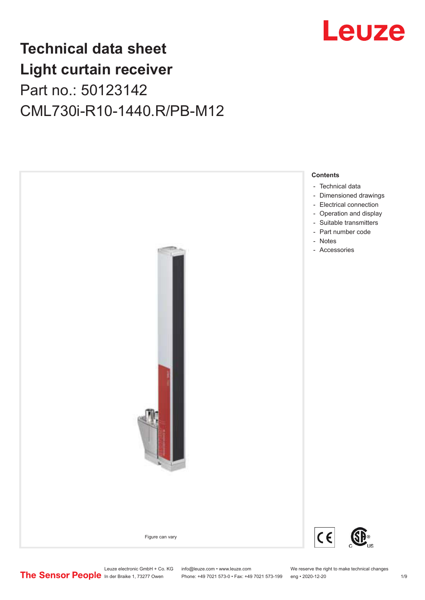

## **Technical data sheet Light curtain receiver** Part no.: 50123142 CML730i-R10-1440.R/PB-M12



Leuze electronic GmbH + Co. KG info@leuze.com • www.leuze.com We reserve the right to make technical changes<br>
The Sensor People in der Braike 1, 73277 Owen Phone: +49 7021 573-0 • Fax: +49 7021 573-199 eng • 2020-12-20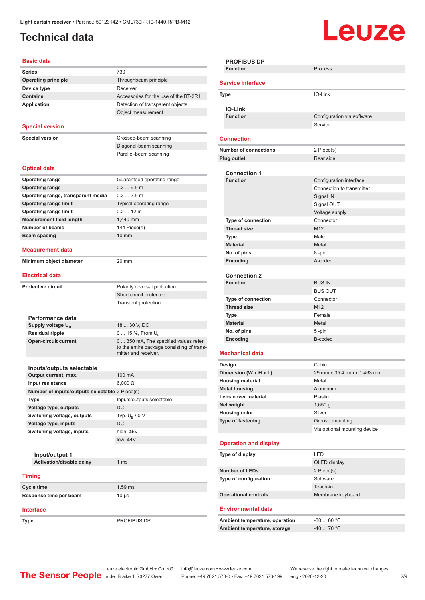### <span id="page-1-0"></span>**Technical data**

# Leuze

| <b>Basic data</b>                                             |                                                                    |  |
|---------------------------------------------------------------|--------------------------------------------------------------------|--|
| <b>Series</b>                                                 | 730                                                                |  |
| <b>Operating principle</b>                                    | Throughbeam principle                                              |  |
| Device type                                                   | Receiver                                                           |  |
| <b>Contains</b>                                               | Accessories for the use of the BT-2R1                              |  |
| <b>Application</b>                                            | Detection of transparent objects                                   |  |
|                                                               | Object measurement                                                 |  |
| <b>Special version</b>                                        |                                                                    |  |
|                                                               |                                                                    |  |
| <b>Special version</b>                                        | Crossed-beam scanning                                              |  |
|                                                               | Diagonal-beam scanning                                             |  |
|                                                               | Parallel-beam scanning                                             |  |
| <b>Optical data</b>                                           |                                                                    |  |
|                                                               |                                                                    |  |
| <b>Operating range</b><br><b>Operating range</b>              | Guaranteed operating range<br>0.39.5m                              |  |
| Operating range, transparent media                            | 0.33.5m                                                            |  |
| <b>Operating range limit</b>                                  | Typical operating range                                            |  |
| <b>Operating range limit</b>                                  | $0.212$ m                                                          |  |
| <b>Measurement field length</b>                               | 1,440 mm                                                           |  |
| <b>Number of beams</b>                                        | 144 Piece(s)                                                       |  |
| Beam spacing                                                  | $10 \text{ mm}$                                                    |  |
|                                                               |                                                                    |  |
| <b>Measurement data</b>                                       |                                                                    |  |
| Minimum object diameter                                       | 20 mm                                                              |  |
| <b>Electrical data</b>                                        |                                                                    |  |
| <b>Protective circuit</b>                                     | Polarity reversal protection                                       |  |
|                                                               | Short circuit protected                                            |  |
|                                                               | <b>Transient protection</b>                                        |  |
|                                                               |                                                                    |  |
| Performance data                                              |                                                                    |  |
| Supply voltage $U_{B}$                                        | 18  30 V, DC                                                       |  |
| <b>Residual ripple</b><br><b>Open-circuit current</b>         | 0  15 %, From $U_{\rm B}$<br>0  350 mA, The specified values refer |  |
|                                                               | to the entire package consisting of trans-<br>mitter and receiver. |  |
|                                                               |                                                                    |  |
| Inputs/outputs selectable                                     |                                                                    |  |
| Output current, max.                                          | 100 mA                                                             |  |
| Input resistance                                              | $6,000 \Omega$                                                     |  |
| Number of inputs/outputs selectable 2 Piece(s)<br><b>Type</b> | Inputs/outputs selectable                                          |  |
| Voltage type, outputs                                         | DC                                                                 |  |
| Switching voltage, outputs                                    | Typ. $U_R / 0 V$                                                   |  |
| Voltage type, inputs                                          | DC                                                                 |  |
| Switching voltage, inputs                                     | high: $\geq 6V$                                                    |  |
|                                                               | $low: \leq 4V$                                                     |  |
|                                                               |                                                                    |  |
| Input/output 1                                                |                                                                    |  |
| Activation/disable delay                                      | 1 <sub>ms</sub>                                                    |  |
| <b>Timing</b>                                                 |                                                                    |  |
| Cycle time                                                    | $1.59$ ms                                                          |  |
| Response time per beam                                        | 10 µs                                                              |  |
|                                                               |                                                                    |  |
|                                                               |                                                                    |  |

| <b>PROFIBUS DP</b>                     |                                                 |
|----------------------------------------|-------------------------------------------------|
| <b>Function</b>                        | Process                                         |
| <b>Service interface</b>               |                                                 |
| <b>Type</b>                            | IO-Link                                         |
| <b>IO-Link</b>                         |                                                 |
| <b>Function</b>                        | Configuration via software                      |
|                                        | Service                                         |
| <b>Connection</b>                      |                                                 |
| <b>Number of connections</b>           | 2 Piece(s)                                      |
| <b>Plug outlet</b>                     | Rear side                                       |
|                                        |                                                 |
| <b>Connection 1</b><br><b>Function</b> | Configuration interface                         |
|                                        | Connection to transmitter                       |
|                                        | Signal IN                                       |
|                                        | Signal OUT                                      |
|                                        | Voltage supply                                  |
| Type of connection                     | Connector                                       |
| <b>Thread size</b>                     | M <sub>12</sub>                                 |
| <b>Type</b>                            | Male                                            |
| <b>Material</b>                        | Metal                                           |
| No. of pins                            | 8-pin                                           |
| Encoding                               | A-coded                                         |
|                                        |                                                 |
| <b>Connection 2</b>                    |                                                 |
| <b>Function</b>                        | <b>BUS IN</b>                                   |
|                                        | <b>BUS OUT</b>                                  |
| Type of connection                     | Connector                                       |
| <b>Thread size</b>                     | M <sub>12</sub>                                 |
| <b>Type</b>                            | Female                                          |
| <b>Material</b><br>No. of pins         | Metal                                           |
| Encoding                               | 5-pin<br>B-coded                                |
|                                        |                                                 |
| <b>Mechanical data</b>                 |                                                 |
| Design                                 | Cubic                                           |
| Dimension (W x H x L)                  | 29 mm x 35.4 mm x 1,463 mm                      |
| <b>Housing material</b>                | Metal                                           |
| <b>Metal housing</b>                   | Aluminum                                        |
| Lens cover material                    | Plastic                                         |
| Net weight                             | $1,650$ g                                       |
| <b>Housing color</b>                   | Silver                                          |
| <b>Type of fastening</b>               | Groove mounting<br>Via optional mounting device |
|                                        |                                                 |
| <b>Operation and display</b>           |                                                 |
| Type of display                        | LED                                             |
|                                        | OLED display                                    |
| <b>Number of LEDs</b>                  | 2 Piece(s)                                      |
| Type of configuration                  | Software                                        |
|                                        | Teach-in                                        |
| <b>Operational controls</b>            | Membrane keyboard                               |
| <b>Environmental data</b>              |                                                 |
| Ambient temperature, operation         | $-3060 °C$                                      |
| Ambient temperature, storage           | $-40$ 70 °C                                     |

Leuze electronic GmbH + Co. KG info@leuze.com • www.leuze.com We reserve the right to make technical changes<br>
The Sensor People in der Braike 1, 73277 Owen Phone: +49 7021 573-0 • Fax: +49 7021 573-199 eng • 2020-12-20

**Type** PROFIBUS DP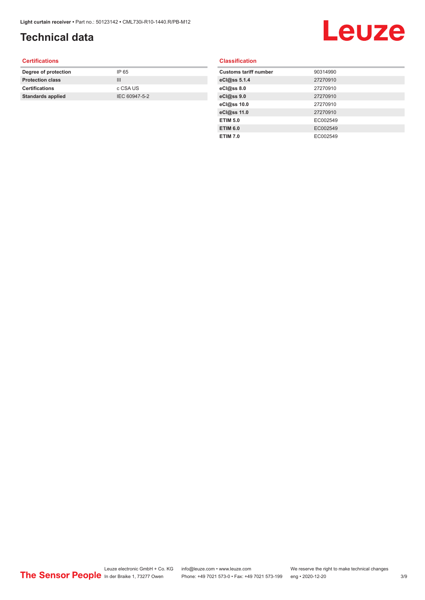## **Technical data**

## Leuze

#### **Certifications**

| Degree of protection     | IP 65         |
|--------------------------|---------------|
| <b>Protection class</b>  | Ш             |
| <b>Certifications</b>    | c CSA US      |
| <b>Standards applied</b> | IEC 60947-5-2 |
|                          |               |

#### **Classification**

| <b>Customs tariff number</b> | 90314990 |
|------------------------------|----------|
| eCl@ss 5.1.4                 | 27270910 |
| eCl@ss 8.0                   | 27270910 |
| eCl@ss 9.0                   | 27270910 |
| eCl@ss 10.0                  | 27270910 |
| eCl@ss 11.0                  | 27270910 |
| <b>ETIM 5.0</b>              | EC002549 |
| <b>ETIM 6.0</b>              | EC002549 |
| <b>ETIM 7.0</b>              | EC002549 |
|                              |          |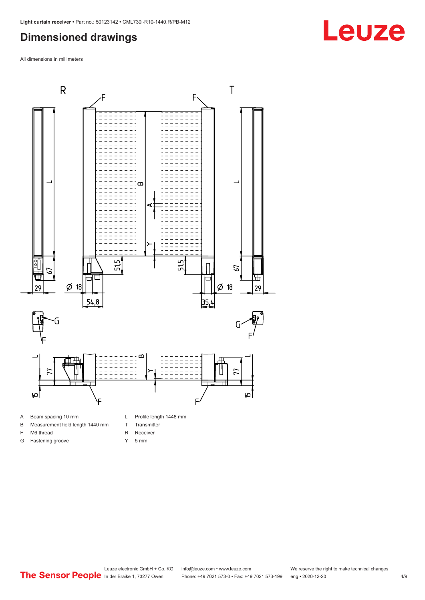#### <span id="page-3-0"></span>**Dimensioned drawings**

All dimensions in millimeters



- 
- B Measurement field length 1440 mm
- F M6 thread
- G Fastening groove
- 
- T Transmitter
- R Receiver
- Y 5 mm

Leuze electronic GmbH + Co. KG info@leuze.com • www.leuze.com We reserve the right to make technical changes<br>
The Sensor People in der Braike 1, 73277 Owen Phone: +49 7021 573-0 • Fax: +49 7021 573-199 eng • 2020-12-20 Phone: +49 7021 573-0 • Fax: +49 7021 573-199 eng • 2020-12-20 4/9

## **Leuze**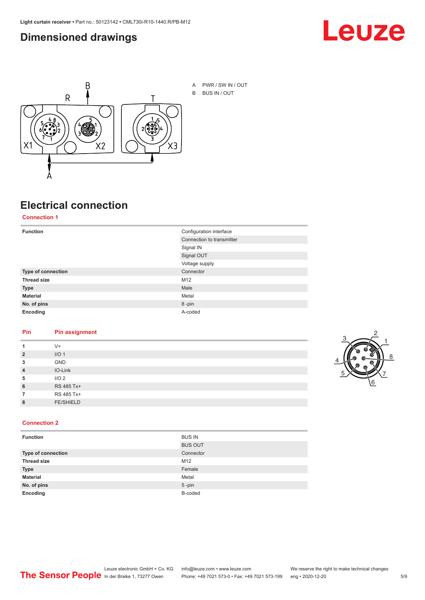#### <span id="page-4-0"></span>**Dimensioned drawings**





A PWR / SW IN / OUT B BUS IN / OUT

## **Electrical connection**

#### **Connection 1**

| <b>Function</b>    | Configuration interface   |  |
|--------------------|---------------------------|--|
|                    | Connection to transmitter |  |
|                    | Signal IN                 |  |
|                    | Signal OUT                |  |
|                    | Voltage supply            |  |
| Type of connection | Connector                 |  |
| <b>Thread size</b> | M12                       |  |
| <b>Type</b>        | Male                      |  |
| <b>Material</b>    | Metal                     |  |
| No. of pins        | 8-pin                     |  |
| Encoding           | A-coded                   |  |

#### **Pin Pin assignment**

|                | $V +$            |  |  |
|----------------|------------------|--|--|
| $\overline{2}$ | I/O <sub>1</sub> |  |  |
| 3              | <b>GND</b>       |  |  |
| $\overline{4}$ | IO-Link          |  |  |
| 5              | I/O <sub>2</sub> |  |  |
| 6              | RS 485 Tx+       |  |  |
|                | RS 485 Tx+       |  |  |
| 8              | <b>FE/SHIELD</b> |  |  |
|                |                  |  |  |



#### **Connection 2**

| <b>Function</b>    | <b>BUS IN</b>  |
|--------------------|----------------|
|                    | <b>BUS OUT</b> |
| Type of connection | Connector      |
| <b>Thread size</b> | M12            |
| <b>Type</b>        | Female         |
| <b>Material</b>    | Metal          |
| No. of pins        | $5 - pin$      |
| Encoding           | B-coded        |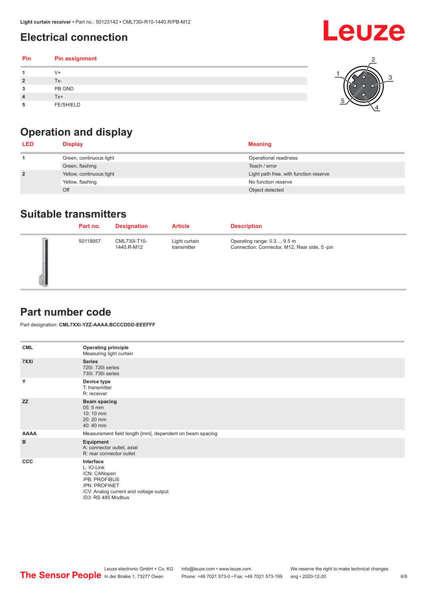### <span id="page-5-0"></span>**Electrical connection**

| Pin | Pin assignment   |  |
|-----|------------------|--|
|     | V+               |  |
| ∍   | Tx-              |  |
| 3   | PB GND           |  |
|     | $Tx+$            |  |
| 5   | <b>FE/SHIELD</b> |  |

### **Operation and display**

| <b>LED</b>     | <b>Display</b>           | <b>Meaning</b>                         |
|----------------|--------------------------|----------------------------------------|
|                | Green, continuous light  | Operational readiness                  |
|                | Green, flashing          | Teach / error                          |
| $\overline{2}$ | Yellow, continuous light | Light path free, with function reserve |
|                | Yellow, flashing         | No function reserve                    |
|                | Off                      | Object detected                        |

#### **Suitable transmitters**

| Part no. | <b>Designation</b>         | <b>Article</b>               | <b>Description</b>                                                          |
|----------|----------------------------|------------------------------|-----------------------------------------------------------------------------|
| 50118957 | CML730i-T10-<br>1440.R-M12 | Light curtain<br>transmitter | Operating range: 0.3  9.5 m<br>Connection: Connector, M12, Rear side, 5-pin |

#### **Part number code**

Part designation: **CML7XXi-YZZ-AAAA.BCCCDDD-EEEFFF**

| <b>CML</b>  | <b>Operating principle</b><br>Measuring light curtain                                                                                     |
|-------------|-------------------------------------------------------------------------------------------------------------------------------------------|
| 7XXi        | <b>Series</b><br>720i: 720i series<br>730i: 730i series                                                                                   |
| Y           | Device type<br>T: transmitter<br>R: receiver                                                                                              |
| <b>ZZ</b>   | <b>Beam spacing</b><br>$05:5$ mm<br>10:10 mm<br>20:20 mm<br>40:40 mm                                                                      |
| <b>AAAA</b> | Measurement field length [mm], dependent on beam spacing                                                                                  |
| B           | Equipment<br>A: connector outlet, axial<br>R: rear connector outlet                                                                       |
| CCC         | Interface<br>L: IO-Link<br>/CN: CANopen<br>/PB: PROFIBUS<br>/PN: PROFINET<br>/CV: Analog current and voltage output<br>/D3: RS 485 Modbus |



## **Leuze**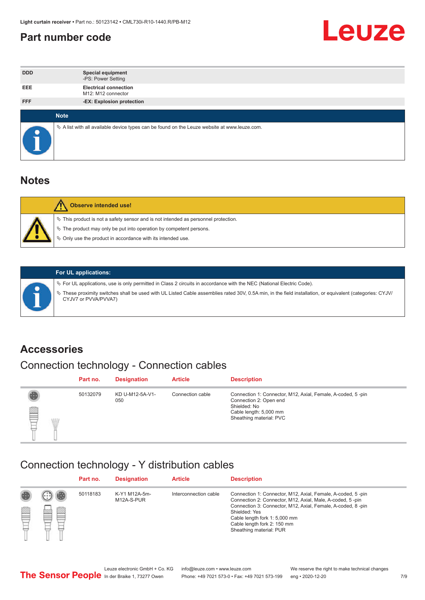#### <span id="page-6-0"></span>**Part number code**



| <b>DDD</b> | <b>Special equipment</b><br>-PS: Power Setting                                                    |
|------------|---------------------------------------------------------------------------------------------------|
| <b>EEE</b> | <b>Electrical connection</b><br>M12: M12 connector                                                |
| <b>FFF</b> | -EX: Explosion protection                                                                         |
|            | <b>Note</b>                                                                                       |
|            | Vector A list with all available device types can be found on the Leuze website at www.leuze.com. |

#### **Notes**

| Observe intended use!                                                                                                                                                                                                            |
|----------------------------------------------------------------------------------------------------------------------------------------------------------------------------------------------------------------------------------|
| $\%$ This product is not a safety sensor and is not intended as personnel protection.<br>$\%$ The product may only be put into operation by competent persons.<br>$\%$ Only use the product in accordance with its intended use. |
|                                                                                                                                                                                                                                  |



#### **For UL applications:**

ª For UL applications, use is only permitted in Class 2 circuits in accordance with the NEC (National Electric Code). ª These proximity switches shall be used with UL Listed Cable assemblies rated 30V, 0.5A min, in the field installation, or equivalent (categories: CYJV/ CYJV7 or PVVA/PVVA7)

#### **Accessories**

### Connection technology - Connection cables

|        | Part no. | <b>Designation</b>     | <b>Article</b>   | <b>Description</b>                                                                                                                                         |
|--------|----------|------------------------|------------------|------------------------------------------------------------------------------------------------------------------------------------------------------------|
| 2<br>W | 50132079 | KD U-M12-5A-V1-<br>050 | Connection cable | Connection 1: Connector, M12, Axial, Female, A-coded, 5-pin<br>Connection 2: Open end<br>Shielded: No<br>Cable length: 5,000 mm<br>Sheathing material: PVC |

#### Connection technology - Y distribution cables

|        |   | Part no. | <b>Designation</b>          | <b>Article</b>        | <b>Description</b>                                                                                                                                                                                                                                                                                  |
|--------|---|----------|-----------------------------|-----------------------|-----------------------------------------------------------------------------------------------------------------------------------------------------------------------------------------------------------------------------------------------------------------------------------------------------|
| 圔<br>⋿ | Ø | 50118183 | K-Y1 M12A-5m-<br>M12A-S-PUR | Interconnection cable | Connection 1: Connector, M12, Axial, Female, A-coded, 5-pin<br>Connection 2: Connector, M12, Axial, Male, A-coded, 5-pin<br>Connection 3: Connector, M12, Axial, Female, A-coded, 8-pin<br>Shielded: Yes<br>Cable length fork 1: 5,000 mm<br>Cable length fork 2: 150 mm<br>Sheathing material: PUR |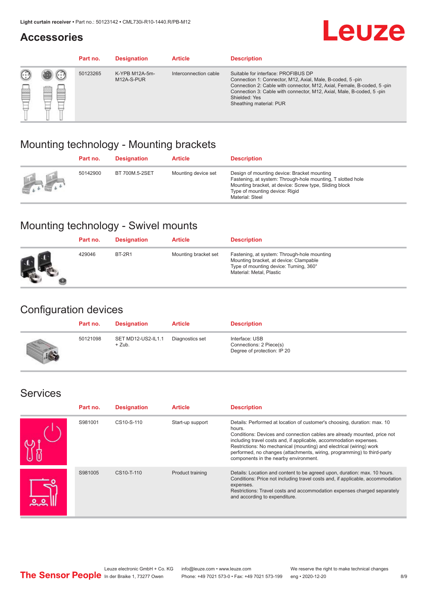#### **Accessories**

## **Leuze**

|   |            | Part no. | <b>Designation</b>           | <b>Article</b>        | <b>Description</b>                                                                                                                                                                                                                                                                             |
|---|------------|----------|------------------------------|-----------------------|------------------------------------------------------------------------------------------------------------------------------------------------------------------------------------------------------------------------------------------------------------------------------------------------|
| œ | 83<br>toni | 50123265 | K-YPB M12A-5m-<br>M12A-S-PUR | Interconnection cable | Suitable for interface: PROFIBUS DP<br>Connection 1: Connector, M12, Axial, Male, B-coded, 5-pin<br>Connection 2: Cable with connector, M12, Axial, Female, B-coded, 5-pin<br>Connection 3: Cable with connector, M12, Axial, Male, B-coded, 5-pin<br>Shielded: Yes<br>Sheathing material: PUR |

#### Mounting technology - Mounting brackets

|               | Part no. | <b>Designation</b> | <b>Article</b>      | <b>Description</b>                                                                                                                                                                                                        |
|---------------|----------|--------------------|---------------------|---------------------------------------------------------------------------------------------------------------------------------------------------------------------------------------------------------------------------|
| $\frac{1}{2}$ | 50142900 | BT 700M.5-2SET     | Mounting device set | Design of mounting device: Bracket mounting<br>Fastening, at system: Through-hole mounting, T slotted hole<br>Mounting bracket, at device: Screw type, Sliding block<br>Type of mounting device: Rigid<br>Material: Steel |

### Mounting technology - Swivel mounts

| Part no. | <b>Designation</b> | <b>Article</b>       | <b>Description</b>                                                                                                                                          |
|----------|--------------------|----------------------|-------------------------------------------------------------------------------------------------------------------------------------------------------------|
| 429046   | <b>BT-2R1</b>      | Mounting bracket set | Fastening, at system: Through-hole mounting<br>Mounting bracket, at device: Clampable<br>Type of mounting device: Turning, 360°<br>Material: Metal, Plastic |

#### Configuration devices

| Part no. | <b>Designation</b>             | <b>Article</b>  | <b>Description</b>                                                       |
|----------|--------------------------------|-----------------|--------------------------------------------------------------------------|
| 50121098 | SET MD12-US2-IL1.1<br>$+$ Zub. | Diagnostics set | Interface: USB<br>Connections: 2 Piece(s)<br>Degree of protection: IP 20 |

#### Services

| Part no. | <b>Designation</b> | <b>Article</b>   | <b>Description</b>                                                                                                                                                                                                                                                                                                                                                                                                              |
|----------|--------------------|------------------|---------------------------------------------------------------------------------------------------------------------------------------------------------------------------------------------------------------------------------------------------------------------------------------------------------------------------------------------------------------------------------------------------------------------------------|
| S981001  | CS10-S-110         | Start-up support | Details: Performed at location of customer's choosing, duration: max. 10<br>hours.<br>Conditions: Devices and connection cables are already mounted, price not<br>including travel costs and, if applicable, accommodation expenses.<br>Restrictions: No mechanical (mounting) and electrical (wiring) work<br>performed, no changes (attachments, wiring, programming) to third-party<br>components in the nearby environment. |
| S981005  | CS10-T-110         | Product training | Details: Location and content to be agreed upon, duration: max. 10 hours.<br>Conditions: Price not including travel costs and, if applicable, accommodation<br>expenses.<br>Restrictions: Travel costs and accommodation expenses charged separately<br>and according to expenditure.                                                                                                                                           |